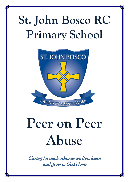# **St. John Bosco RC Primary School**



# **Peer on Peer Abuse**

Caring for each other as we live, learn and grow in God's love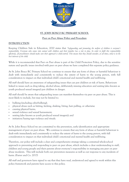

#### **ST. JOHN BOSCO RC PRIMARY SCHOOL**

#### **Peer on Peer Abuse Policy and Procedure**

# **INTRODUCTION**

Keeping Children Safe in Education, 2020 states that *'Safeguarding and promoting the welfare of children is everyone's responsibility. Everyone who comes into contact with children and their families has a role to play. In order to fulfil this responsibility effectively, all practitioners should make sure their approach is child-centred. This means that they should consider, at all times, what is in the best interests of the child.*

While it is recommended that Peer on Peer abuse is part of the Child Protection Policy, due to the sensitive nature and specific issues involved with peer on peer abuse we have completed this separate policy guidance.

At St. John Bosco RC Primary School we continue to ensure that any form of abuse or harmful behaviour is dealt with immediately and consistently to reduce the extent of harm to the young person, with full consideration to impact on that individual child's emotional and mental health and well-being.

All staff should have an awareness of safeguarding issues that can put children at risk of harm. Behaviours linked to issues such as drug taking, alcohol abuse, deliberately missing education and sexting (also known as youth produced sexual imagery) put children in danger.

All staff should be aware that safeguarding issues can manifest themselves via peer on peer abuse. This is most likely to include, but may not be limited to:

- **bullying (including cyberbullying);**
- physical abuse such as hitting, kicking, shaking, biting, hair pulling, or otherwise
- causing physical harm;
- sexual violence and sexual harassment;
- sexting (also known as youth produced sexual imagery); and
- initiation/hazing type violence and rituals.

At St. John Bosco School we are committed to the prevention, early identification and appropriate management of peer on peer abuse. We continue to ensure that any form of abuse or harmful behaviour is dealt with immediately and consistently to reduce the extent of harm to the young person, with full consideration to impact on that individual child's emotional and mental health and well-being.

Therefore, our policy will include a clear and comprehensive strategy taking a contextual whole-school approach to preventing and responding to peer on peer abuse, which includes a clear understanding to staff, children and young people and their parents about everyone's responsibility in managing any peer on peer abuse incidents. This will include both our prevention measures as well as our response to any incidents of harm. (Farrer and Co. 2017)

All staff and governors have signed to say that they have read, understood and agreed to work within this policy framework and parents have access to this policy.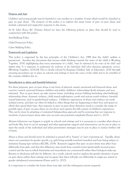#### **Purpose and Aim**

Children and young people may be harmful to one another in a number of ways which would be classified as peer on peer abuse. The purpose of this policy is to explore the many forms of peer on peer abuse and include a planned and supportive response to the issues.

At St. John Bosco RC Primary School we have the following policies in place that should be read in conjunction with this policy:

Anti-Bullying Policy

Child Protection Policy

Cyber Bullying Policy

#### **Framework and Legislation**

This policy is supported by the key principles of the Children's Act, 1989 that the child's welfare is paramount. Another key document that focuses adult thinking towards the views of the child is Working Together, 2018, highlighting that every assessment of a child, '*must be informed by the views of the child'* and within that '*It is important to understand the resilience of the individual child when planning appropriate services*. (Working Together, 2018:28) This is clearly echoed by Keeping Children Safe in Education, 2018 through ensuring procedures are in place in schools and settings to hear the voice of the child and to be mindful of the contexts children live in.

#### **Introduction to abuse and harmful behaviour**

For these purposes, peer on peer abuse is any form of physical, sexual, emotional and financial abuse, and coercive control, exercised between children and within children's relationships (both intimate and nonintimate). Peer on peer abuse can take various forms, including: serious bullying (including cyber-bullying), relationship abuse, domestic violence, child sexual exploitation, youth and serious youth violence, harmful sexual behaviour, and/or gender-based violence. Children's experiences of abuse and violence are rarely isolated events, and they can often be linked to other things that are happening in their lives and spaces in which they spend their time. Any response to peer on peer abuse therefore needs to consider the range of possible types of peer on peer abuse set out above and capture the full context of children's experiences. This can be done by adopting a Contextual Safeguarding approach and by ensuring that our response to incidents of peer-on-peer abuse takes into account any potential complexity (Farrer and Co. 2017).

Abusive behaviour can happen to pupils in schools and settings and it is necessary to consider what abuse is and looks like, how it can be managed and what appropriate support and intervention can be put in place to meet the needs of the individual and what preventative strategies may be put in place to reduce further risk of harm.

Abuse is abuse and should never be tolerated or passed off as 'banter' or 'part of growing up'. Equally, abuse issues can sometimes be gender specific e.g. girls being sexually touched/assaulted and boys being subject to initiation/hazing type violence (KCSIE, 2018). Research suggests that peer on peer abuse may affect boys differently from girls, and that this difference may result from societal norms (particularly around power, control and the way in which femininity and masculinity are constructed) rather than biological make-up. Barriers to disclosure will also be different. As a result, schools need to explore the gender dynamics of peer on peer abuse within their settings and recognise that these will play out differently in single sex, mixed or gender imbalanced environments (Farrer and Co. 2017).

It is important to consider the forms abuse may take and the subsequent actions required.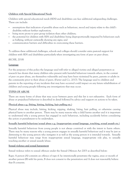# **Children with Special Educational Needs**

Children with special educational needs (SEN) and disabilities can face additional safeguarding challenges. These can include:

- assumptions that indicators of possible abuse such as behaviour, mood and injury relate to the child's disability without further exploration;
- being more prone to peer group isolation than other children;
- the potential for children with SEN and disabilities being disproportionally impacted by behaviours such as bullying, without outwardly showing any signs; and
- communication barriers and difficulties in overcoming these barriers.

To address these additional challenges, schools and colleges should consider extra pastoral support for children with SEN and disabilities particularly when investigating any form of peer on peer abuse.

# (KCSIE, 2018)

# **Language**

For the purposes of this policy the language used will refer to alleged victims and alleged perpetrators as research has shown that many children who present with harmful behaviour towards others, in the context of peer on peer abuse, are themselves vulnerable and may have been victimised by peers, parents or adults in the community prior to their abuse of peers. (Farrer and Co. 2017). The language used to children and parents in the reporting of any incidents that may have occurred could impact on any future rehabilitation of children and young people following any investigations that may occur.

# **TYPES OF ABUSE**

There are many forms of abuse that may occur between peers and this list is not exhaustive. Each form of abuse or prejudiced behaviour is described in detail followed by advice and support on actions to be taken.

# **Physical abuse e.g. (biting, hitting, kicking, hair pulling etc.)**

Physical abuse may include, hitting, kicking, nipping, shaking, biting, hair pulling, or otherwise causing physical harm to another person. There may be many reasons why a child harms another and it is important to understand why a young person has engaged in such behaviour, including accidently before considering the action or punishment to be undertaken.

# **Sexually harmful behaviour/sexual abuse e.g. (inappropriate sexual language, touching, sexual assault etc.)**

Sexually harmful behaviour from young people is not always contrived or with the intent to harm others. There may be many reasons why a young person engages in sexually harmful behaviour and it may be just as distressing to the young person who instigates it as well as the young person it is intended towards. Sexually harmful behaviour may range from inappropriate sexual language, inappropriate role play, to sexually touching another or sexual assault/abuse.

# **Sexual violence and sexual harassment**

Sexual violence refers to sexual offences under the Sexual Offences Act 2003 as described below:

Rape: A person (A) commits an offence of rape if: he intentionally penetrates the vagina, anus or mouth of another person (B) with his penis, B does not consent to the penetration and A does not reasonably believe that B consents.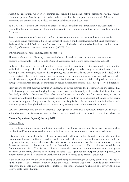Assault by Penetration: A person (A) commits an offence if: s/he intentionally penetrates the vagina or anus of another person (B) with a part of her/his body or anything else, the penetration is sexual, B does not consent to the penetration and A does not reasonably believe that B consents.

Sexual Assault: A person (A) commits an offence of sexual assault if: s/he intentionally touches another person (B), the touching is sexual, B does not consent to the touching and A does not reasonably believe that B consents.

Sexual harassment means 'unwanted conduct of a sexual nature' that can occur online and offline. In referencing sexual harassment, it is in the context of child on child sexual harassment. Sexual harassment is likely to: violate a child's dignity, and/or make them feel intimidated, degraded or humiliated and/or create a hostile, offensive or sexualised environment (KCSIE 2018).

# **Bullying (physical, name calling, homophobic etc.)**

The new definition of bullying is, 'a person who habitually seeks to harm or intimate those who they perceive as vulnerable'. (Taken from the Oxford, Cambridge and Collins dictionary, updated 2018)

Bullying is behaviour by an individual or group, repeated over time, that intentionally hurts another individual or group either physically or emotionally. Bullying can take many forms (for instance, cyberbullying via text messages, social media or gaming, which can include the use of images and video) and is often motivated by prejudice against particular groups, for example on grounds of race, religion, gender, sexual orientation, special educational needs or disabilities, or because a child is adopted, in care or has caring responsibilities. It might be motivated by actual differences between children, or perceived differences.

Many experts say that bullying involves an imbalance of power between the perpetrator and the victim. This could involve perpetrators of bullying having control over the relationship which makes it difficult for those they bully to defend themselves. The imbalance of power can manifest itself in several ways, it may be physical, psychological (knowing what upsets someone), derive from an intellectual imbalance, or by having access to the support of a group, or the capacity to socially isolate. It can result in the intimidation of a person or persons through the threat of violence or by isolating them either physically or online.

Low-level disruption and the use of offensive language can in itself have a significant impact on its target. If left unchallenged or dismissed as banter or horseplay it can also lead to reluctance to report other behaviour.

# (Preventing and tackling bullying, July 2017)

# **Cyber bullying**

Cyberbullying is the use of phones, instant messaging, e-mail, chat rooms or social networking sites such as Facebook and Twitter to harass threaten or intimidate someone for the same reasons as stated above.

It is important to state that cyber bullying can very easily fall into criminal behaviour under the Malicious Communications Act 1988 under section 1 which states that electronic communications which are indecent or grossly offensive, convey a threat or false information or demonstrate that there is an intention to cause distress or anxiety to the victim would be deemed to be criminal. This is also supported by the Communications Act 2003, Section 127 which states that electronic communications which are grossly offensive or indecent, obscene or menacing, or false, used again for the purpose of causing annoyance, inconvenience or needless anxiety to another could also be deemed to be criminal behaviour.

If the behaviour involves the use of taking or distributing indecent images of young people under the age of 18 then this is also a criminal offence under the Sexual Offences Act 2003. Outside of the immediate support young people may require in these instances, the school will have no choice but to involve the police to investigate these situations.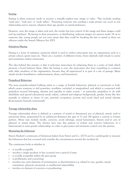#### **Sexting**

Sexting is when someone sends or receives a sexually explicit text, image or video. This includes sending 'nude pics', 'rude pics' or 'nude selfies'. Pressuring someone into sending a nude picture can occur in any relationship and to anyone, whatever their age, gender or sexual preference.

However, once the image is taken and sent, the sender has lost control of the image and these images could end up anywhere. By having in their possession, or distributing, indecent images of a person under 18 on to someone else, young people are not even aware that they could be breaking the law as stated as these are offences under the Sexual Offences Act 2003.

#### **Initiation/Hazing**

Hazing is a form of initiation ceremony which is used to induct newcomers into an organisation such as a private school, sports team etc. There are a number of different forms, from relatively mild rituals to severe and sometimes violent ceremonies.

The idea behind this practice is that it welcomes newcomers by subjecting them to a series of trials which promote a bond between them. After the hazing is over, the newcomers also have something in common with older members of the organisation, because they all experienced it as part of a rite of passage. Many rituals involve humiliation, embarrassment, abuse, and harassment.

#### **Prejudiced Behaviour**

The term prejudice-related bullying refers to a range of hurtful behaviour, physical or emotional or both, which causes someone to feel powerless, worthless, excluded or marginalised, and which is connected with prejudices around belonging, identity and equality in wider society – in particular, prejudices to do with disabilities and special educational needs, ethnic, cultural and religious backgrounds, gender, home life, (for example in relation to issues of care, parental occupation, poverty and social class) and sexual identity (homosexual, bisexual, transsexual).

#### **Teenage relationship abuse**

Teenage relationship abuse is defined as a pattern of actual or threatened acts of physical, sexual, and/or emotional abuse, perpetrated by an adolescent (between the ages of 13 and 18) against a current or former partner. Abuse may include insults, coercion, social sabotage, sexual harassment, threats and/or acts of physical or sexual abuse. The abusive teen uses this pattern of violent and coercive behaviour, in a heterosexual or same gender relationship, in order to gain power and maintain control over the partner.

#### **Measuring the behaviour**

Simon Hackett's continuum of behaviour (taken from Farrer and Co. 2017) can be a useful guide to measure the behaviour that has occurred and consider the circumstances around the incident (s).

The continuum looks at whether it:

- **is socially acceptable**
- involves a single incident or has occurred over a period of time
- is socially acceptable within the peer group
- is problematic and concerning
- involves any overt elements of victimisation or discrimination e.g. related to race, gender, sexual orientation, physical, emotional, or intellectual vulnerability
- involves an element of coercion or pre-planning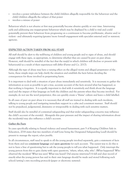- involves a power imbalance between the child/children allegedly responsible for the behaviour and the child/children allegedly the subject of that power
- involves a misuse of power

Behaviour which is not abusive at first may potentially become abusive quickly or over time. Intervening early and addressing any inappropriate behaviour which may be displayed by a child is vital and could potentially prevent their behaviour from progressing on a continuum to become problematic, abusive and/or violent - and ultimately requiring (greater/more formal) engagement with specialist external and/or statutory agencies.

# **EXPECTED ACTION TAKEN FROM ALL STAFF**

All staff should be alert to the well-being of children and young people and to signs of abuse, and should engage with these signs, as appropriate, to determine whether they are caused by peer on peer abuse. However, staff should be mindful of the fact that the way(s) in which children will disclose or present with behaviour(s) as a result of their experiences will differ (Farrer and Co. 2017).

Although the type of abuse may have a varying effect on the alleged victim and alleged perpetrator of the harm, these simple steps can help clarify the situation and establish the facts before deciding the consequences for those involved in perpetrating harm.

It is important to deal with a situation of peer abuse immediately and sensitively. It is necessary to gather the information as soon as possible to get a true, accurate account of the facts around what has happened, so that nothing is forgotten. It is equally important to deal with it sensitively and think about the language used and the impact of that language on both the children and the parents when they become involved. For example; do not use the word perpetrator, this can quickly create a 'blame' culture and leave a child labelled.

In all cases of peer on peer abuse it is necessary that all staff are trained in dealing with such incidents, talking to young people and instigating immediate support in a calm and consistent manner. Staff should not be prejudiced, judgemental, dismissive or irresponsible in dealing with such sensitive matters.

Staff should also be mindful of contextual safeguarding and that wider safeguarding concerns may influence the child's account of the event(s). Alongside this peer pressure and the impact of sharing information about the incident(s) may also influence a child's account.

# **Gather the Facts**

In cases specifically relating to Sexual violence and sexual harassment, part 5 of Keeping Children Safe in Education, 2018 states that two members of staff (one being the Designated Safeguarding Lead) should be present to manage the report, *where possible*.

In all circumstances, staff need to speak to all the young people involved separately, gain a statement of facts from them and use **consistent language** and **open questions** for each account. The easiest way to do this is not to have a line of questioning but to ask the young people to tell you what happened. Only interrupt the young person from this to gain clarity with open questions, 'where, when, why, who'. (What happened? Who observed the incident? What was seen? What was heard? Did anyone intervene?) A full and clear record of exactly what the young person has said in their own language should be made and stored following each school/setting's own recording protocols (paper or electronic systems).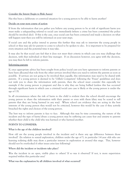#### **Consider the Intent (begin to Risk Assess)**

Has this been a deliberate or contrived situation for a young person to be able to harm another?

#### **Decide on your next course of action**

If from the information that you gather you believe any young person to be at risk of significant harm you must make a safeguarding referral to social care immediately (where a crime has been committed the police should be involved also). If this is the case, once social care has been contacted and made a decision on what will happen next then you will be informed on your next steps.

If social care and the police intend to pursue this further they may ask to interview the young people in school or they may ask for parents to come to school to be spoken to also. It is important to be prepared for every situation and the potential time it may take.

It may also be that social care feel that it does not meet their criteria in which case you may challenge that decision, with that individual or their line manager. If on discussion however, you agree with the decision, you may then be left to inform parents.

#### **Informing parents**

If, once appropriate advice has been sought from police/social care you have agreement to inform parents or have been allocated that role from the other services involved then you need to inform the parents as soon as possible. If services are not going to be involved then equally, this information may need to be shared with parents. If a young person is deemed to be 'Gillick Competent' following the 'Fraser' guidelines and does not wish you to share the information with parents, then the school must consider this especially for example if the young person is pregnant and this is why they are being bullied (unless this has occurred through significant harm in which case a criminal/social care case is likely or the young person is under the age of 13).

In all circumstances where the risk of harm to the child is evident then the school should encourage the young person to share the information with their parent or even with them (they may be scared to tell parents that they are being harmed in any way). Where school can evidence they are acting in the best interests of the young person they would not be criticised, however this would be the case if they actively breached the rights and choices of the young person.

The best way to inform parents is face to face. Although this may be time consuming, the nature of the incident and the type of harm/abuse a young person may be suffering can cause fear and anxiety to parents whether their child is the child who was harmed or who harmed another.

#### **POINTS TO CONSIDER:**

#### **What is the age of the children involved?**

How old are the young people involved in the incident and is there any age difference between those involved? (In relation to sexual exploration, children under the age of 5, in particular 1-4 year olds who are learning toileting skills may show a particular interest in exploration at around this stage. This, however should not be overlooked if other issues arise (see following)

#### **Where did the incident or incidents take place?**

Was the incident in an open, visible place to others? If so was it observed? If not, is more supervision required within this particular area?

#### **What was the explanation by all children involved of what occurred?**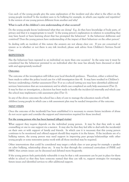Can each of the young people give the same explanation of the incident and also what is the effect on the young people involved? Is the incident seen to be bullying for example, in which case regular and repetitive? Is the version of one young person different from another and why?

# **What is each of the children's own understanding of what occurred?**

Do the young people know/understand what they are doing? E.g. do they have knowledge of body parts, of privacy and that it is inappropriate to touch? Is the young person's explanation in relation to something they may have heard or been learning about that has prompted the behaviour? Is the behaviour deliberate and contrived? Does the young person have understanding of the impact of their behaviour on the other person?

In dealing with an incident of this nature the answers are not always clear cut. If you are concerned or unsure as to whether or not there is any risk involved, please seek advice from Children's Services Social Care.

# **REPETITION**

Has the behaviour been repeated to an individual on more than one occasion? In the same way it must be considered has the behaviour persisted to an individual after the issue has already been discussed or dealt with and appropriately resolved?

# **Outcomes**

The outcome of the investigation will follow your local threshold guidance. Therefore, either a referral has been made to either the police/social care for a full investigation (tier 4). It may have resulted in Children's Services undertaking a further assessment (Tier 3) or as a school/setting you may have identified additional services/intervention that are non-statutory and in which case completed an early help assessment (Tier 2). It may be that on investigation, a decision has been made to handle the incident (s) internally and which case the school may implement a risk assessment plan (Tier 1).

In any of the above outcomes the school has a duty of care to manage the education needs of both children/young people in which case a risk assessment plan may be needed irrespective of the outcome.

# **NEXT STEPS**

Once the outcome of the incident(s) has been established it is necessary to ensure future incidents of abuse do not occur again and consider the support and intervention required for those involved.

# **For the young person who has been harmed (alleged victim)**

What support they require depends on the individual young person. It may be that they wish to seek counselling or one to one support via a mentor. It may also be that they feel able to deal with the incident(s) on their own or with support of family and friends. In which case it is necessary that this young person continues to be monitored and offered support should they require it in the future. If the incidents are of a bullying nature, the young person may need support in improving peer groups/relationships with other young people or some restorative justice work with all those involved may be required.

Other interventions that could be considered may target a whole class or year group for example a speaker on cyber bullying, relationship abuse etc. It may be that through the continued curriculum of PHSE and SMSC that certain issues can be discussed and debated more frequently.

If the young person feels particularly vulnerable it may be that a risk assessment can be put in place for them whilst in school so that they have someone named that they can talk to, support strategies for managing future issues and identified services to offer additional support.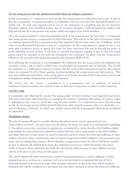#### **For the young person who has displayed harmful behaviour (alleged perpetrator)**

In this circumstance it is important to find out why the young person has behaved in such a way. It may be that the young person is experiencing their own difficulties and may even have been harmed themselves in a similar way. In such cases support such as one to one mentoring or counselling may also be necessary. Particular support from identified services may be necessary through a CAF/strengthening families/early help referral and the young person may require additional support from family members.

Once the support required to meet the individual needs of the young person has been met, it is important that young person receives a consequence for their behaviour. This may be in the form of restorative justice e.g. making amends with the young person they have targeted if this has been some form of bullying. In the cases of sexually harmful behaviour it may be a requirement for the young person to engage in one to one work with a particular service or agency (if a crime has been committed this may be through the police or youth offending service). If there is any form of criminal investigation ongoing it may be that this young person cannot be educated on site until the investigation has concluded. In which case, the young person will need to be provided with appropriate support and education whilst off site.

Even following the conclusion of any investigation the behaviour that the young person has displayed may continue to pose a risk to others in which case an individual risk assessment may be required. This should be completed via a multi-agency response to ensure that the needs of the young person and the risks towards others are measured by all of those agencies involved including the young person and their parents. This may mean additional supervision of the young person or protective strategies if the young person feels at risk of engaging in further inappropriate or harmful behaviour.

The school may also choose a punishment as a consequence such as exclusion or internal exclusion/inclusion/seclusion for a period of time to allow the young person to reflect on their behaviour.

#### **AFTER CARE**

It is important that following the incident the young people involved continue to feel supported and receive help even if they have stated that they are managing the incident. Sometimes the feelings of remorse, regret or unhappiness may occur at a much later stage than the incident. It is important to ensure that the young people do not engage in any further harmful behaviour either towards someone else or to themselves as a way of coping (e.g. self-harm). In which case, regular reviews with the young people following the incident(s) are imperative.

#### **Disciplinary Action**

The school/setting will need to consider whether disciplinary action may be appropriate for any child/children involved – any such action should address the abuse, the causes of it, and attitudes underlying it. Disciplinary action may sometimes be appropriate, including (a) to ensure that the child/children take(s) responsibility for and realise(s) the seriousness of their behaviour; (b) to demonstrate to the child/children and others that peer on peer abuse can never be tolerated; and (c) to ensure the safety and wellbeing of other children. However, these considerations must be balanced against the child's/children's own potential unmet needs and any safeguarding concerns. Before deciding on appropriate action the School will always consider its duty to safeguard all children from harm; the underlying reasons for a child's behaviour; any unmet needs, or harm or abuse suffered by the child; the risk that the child may pose to other children; and the severity of the peer on peer abuse and the causes of it.

The school/setting will, where appropriate, consider the potential benefit, as well as challenge, of using managed moves or exclusion as a response, and not as an intervention, recognising that even if this is ultimately deemed to be necessary, some of the measures referred to in this policy may still be required. Exclusion will only be considered as a last resort and only where necessary to ensure the safety and wellbeing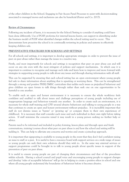of the other children in the School. Engaging in Fair Access Panel Processes to assist with decision-making associated to managed moves and exclusions can also be beneficial (Farrer and Co. 2017).

#### **Review of Circumstances**

Following any incident of harm, it is necessary for the School/Setting to consider if anything could have been done differently. Use of PGSF proforma for internal lessons learnt, can support in identifying under the business model of PGSF what identified changes within the school/setting need to occur. This demonstrates how proactive the school is in continually reviewing its policies and systems in effectively keeping children safe.

# **PREVENTATIVE STRATEGIES FOR SCHOOLS AND SETTINGS**

For all schools and settings, it is important to develop appropriate strategies in order to prevent the issue of peer on peer abuse rather than manage the issues in a reactive way.

Firstly, and most importantly for schools and settings is recognition that peer on peer abuse can and will occur on any site even with the most stringent of policies and support mechanisms. In which case it is important to continue to recognise and manage such risks and learn how to improve and move forward with strategies in supporting young people to talk about any issues and through sharing information with all staff.

This can be supported by ensuring that each school/setting has an open environment where young people feel safe to share information about anything that is upsetting or worrying them. This can be strengthened through a strong and positive PHSE/SMSC curriculum that tackles such issues as prejudiced behaviour and gives children an open forum to talk things through rather than seek one on one opportunities to be harmful to one another.

To enable such an open and honest environment it is necessary to ensure the whole workforce feels confident and enabled to talk about issues and challenge perceptions of young people including use of inappropriate language and behaviour towards one another. In order to create such an environment, it is necessary for whole staff training and CPD around abusive behaviours and talking to young people in a way that continues to create an open and honest environment without prejudice. It is incredibly important that staff do not dismiss issues as 'banter' or 'growing up' or compare them to their own experiences of childhood. It is necessary that staff consider each issue and each individual in their own right before taking action. If staff minimise the concerns raised it may result in a young person seeking no further help or advice.

Parents need to be informed and included in policy forming, lesson plans and through open and frank conversations, training/courses about what peer on peer abuse is and how the school and setting will be tackling it. This can help to alleviate any concerns and worries and create a joined-up approach.

It is important that signposting is available to young people in the event that they don't feel confident raising an issue to staff or a peer. It is useful to have a resource board with support services on a wide range of issues so young people can seek their own solutions should they wish to. In the same way external services or support programmes could be brought in to talk to young people about specific issues in support of the prevention of peer on peer abuse.

It is useful to ensure young people are part of changing their circumstances and that of the procedures within schools. Having a school council and pupil voice and encouraging young people to support changes and develop 'rules of acceptable behaviour' will go far in helping to create a positive ethos in school and one where all young people understand the boundaries of behaviour before it becomes abusive.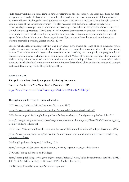Multi agency working can consolidate in house procedures in schools/settings. By accessing advice, support and guidance, effective decisions can be made in collaboration to improve outcomes for children who may be at risk of harm. Seeking advice and guidance can act as a preventative measure so that the right course of action is taken at the earliest opportunity. It is also necessary that the School/Setting actively refers concerns/allegations of peer on peer abuse where necessary to front door services/children's social care and the police where appropriate. This is particularly important because peer on peer abuse can be a complex issue, and even more so where wider safeguarding concerns exist. It is often not appropriate for one single agency (where the incident cannot be managed internally) to try to address the issue alone – it requires effective partnership working (Farrer and Co. 2017).

Schools which excel at tackling bullying (and peer abuse) have created an ethos of good behaviour where pupils treat one another and the school staff with respect because they know that this is the right way to behave. That culture extends beyond the classroom to the corridors, the dining hall, the playground, and beyond the school gates including travel to and from school. Values of respect for staff and other pupils, an understanding of the value of education, and a clear understanding of how our actions affect others permeate the whole school environment and are reinforced by staff and older pupils who set a good example to the rest. (Preventing and tackling bullying, 2017).

#### **REFERENCES**

#### **This policy has been heavily supported by the key document:**

Farrer and Co: Peer on Peer Abuse Toolkit. December 2017.

<https://www.farrer.co.uk/Global/Peer-on-peer%20abuse%20toolkit%2014.pdf>

# **This policy should be read in conjunction with:**

DFE: Keeping Children Safe in Education. September 2020

<https://www.gov.uk/government/publications/keeping-children-safe-in-education--2>

DFE: Preventing and Tackling Bullying: Advice for headteachers, staff and governing bodies. July 2017

[https://www.gov.uk/government/uploads/system/uploads/attachment\\_data/file/623895/Preventing\\_and\\_](https://www.gov.uk/government/uploads/system/uploads/attachment_data/file/623895/Preventing_and_tackling_bullying_advice.pdf) [tackling\\_bullying\\_advice.pdf](https://www.gov.uk/government/uploads/system/uploads/attachment_data/file/623895/Preventing_and_tackling_bullying_advice.pdf)

DFE: Sexual Violence and Sexual Harassment between Children in Schools and Colleges. December, 2017

[https://www.gov.uk/government/publications/sexual-violence-and-sexual-harassment-between-children-in](https://www.gov.uk/government/publications/sexual-violence-and-sexual-harassment-between-children-in-schools-and-colleges)[schools-and-colleges](https://www.gov.uk/government/publications/sexual-violence-and-sexual-harassment-between-children-in-schools-and-colleges) 

Working Together to Safeguard Children, 2018

<https://www.gov.uk/government/publications/working-together-to-safeguard-children--2>

UKCCIS: Sexting in Schools and Colleges

[https://assets.publishing.service.gov.uk/government/uploads/system/uploads/attachment\\_data/file/60987](https://assets.publishing.service.gov.uk/government/uploads/system/uploads/attachment_data/file/609874/6_2939_SP_NCA_Sexting_In_Schools_FINAL_Update_Jan17.pdf) 4/6 2939 SP\_NCA\_Sexting\_In\_Schools\_FINAL\_Update\_Jan17.pdf

LSCB's Procedures/Safeguarding Partner arrangements